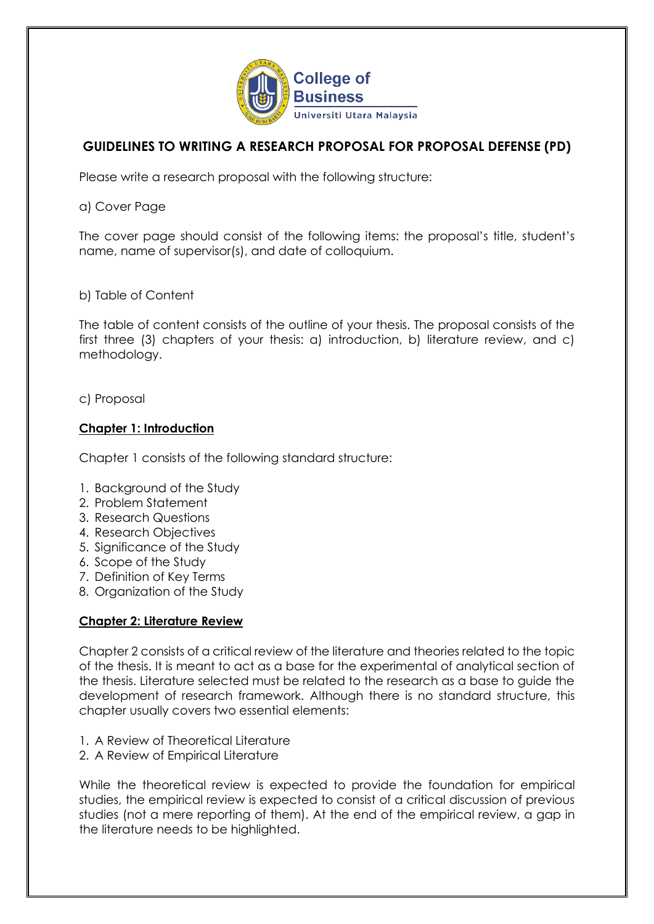

# **GUIDELINES TO WRITING A RESEARCH PROPOSAL FOR PROPOSAL DEFENSE (PD)**

Please write a research proposal with the following structure:

a) Cover Page

The cover page should consist of the following items: the proposal's title, student's name, name of supervisor(s), and date of colloquium.

b) Table of Content

The table of content consists of the outline of your thesis. The proposal consists of the first three (3) chapters of your thesis: a) introduction, b) literature review, and c) methodology.

c) Proposal

## **Chapter 1: Introduction**

Chapter 1 consists of the following standard structure:

- 1. Background of the Study
- 2. Problem Statement
- 3. Research Questions
- 4. Research Objectives
- 5. Significance of the Study
- 6. Scope of the Study
- 7. Definition of Key Terms
- 8. Organization of the Study

#### **Chapter 2: Literature Review**

Chapter 2 consists of a critical review of the literature and theories related to the topic of the thesis. It is meant to act as a base for the experimental of analytical section of the thesis. Literature selected must be related to the research as a base to guide the development of research framework. Although there is no standard structure, this chapter usually covers two essential elements:

- 1. A Review of Theoretical Literature
- 2. A Review of Empirical Literature

While the theoretical review is expected to provide the foundation for empirical studies, the empirical review is expected to consist of a critical discussion of previous studies (not a mere reporting of them). At the end of the empirical review, a gap in the literature needs to be highlighted.